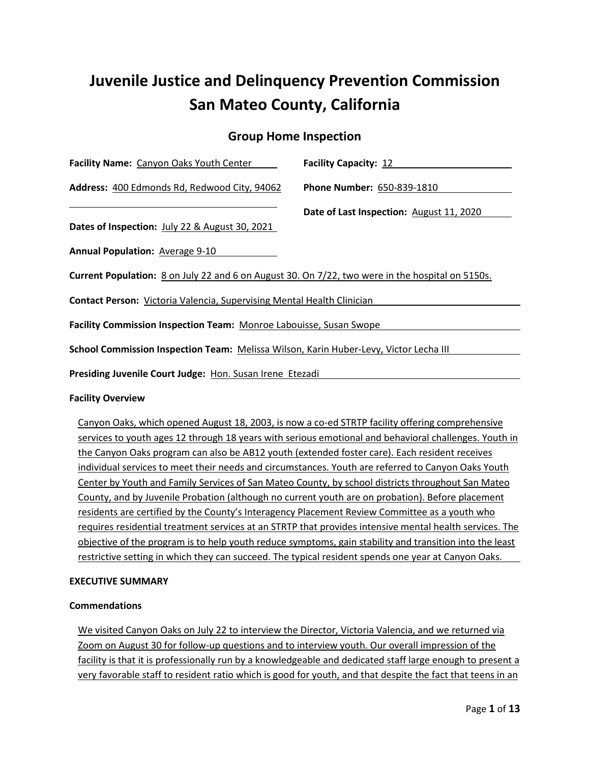# **Juvenile Justice and Delinquency Prevention Commission San Mateo County, California**

# **Group Home Inspection**

| Facility Name: Canyon Oaks Youth Center                                                          | <b>Facility Capacity: 12</b>             |  |  |  |  |
|--------------------------------------------------------------------------------------------------|------------------------------------------|--|--|--|--|
| Address: 400 Edmonds Rd, Redwood City, 94062                                                     | Phone Number: 650-839-1810               |  |  |  |  |
|                                                                                                  | Date of Last Inspection: August 11, 2020 |  |  |  |  |
| Dates of Inspection: July 22 & August 30, 2021                                                   |                                          |  |  |  |  |
| <b>Annual Population: Average 9-10</b>                                                           |                                          |  |  |  |  |
| Current Population: 8 on July 22 and 6 on August 30. On 7/22, two were in the hospital on 5150s. |                                          |  |  |  |  |
| <b>Contact Person:</b> Victoria Valencia, Supervising Mental Health Clinician                    |                                          |  |  |  |  |
| Facility Commission Inspection Team: Monroe Labouisse, Susan Swope                               |                                          |  |  |  |  |
| School Commission Inspection Team: Melissa Wilson, Karin Huber-Levy, Victor Lecha III            |                                          |  |  |  |  |
| Presiding Juvenile Court Judge: Hon. Susan Irene Etezadi                                         |                                          |  |  |  |  |

#### **Facility Overview**

Canyon Oaks, which opened August 18, 2003, is now a co-ed STRTP facility offering comprehensive services to youth ages 12 through 18 years with serious emotional and behavioral challenges. Youth in the Canyon Oaks program can also be AB12 youth (extended foster care). Each resident receives individual services to meet their needs and circumstances. Youth are referred to Canyon Oaks Youth Center by Youth and Family Services of San Mateo County, by school districts throughout San Mateo County, and by Juvenile Probation (although no current youth are on probation). Before placement residents are certified by the County's Interagency Placement Review Committee as a youth who requires residential treatment services at an STRTP that provides intensive mental health services. The objective of the program is to help youth reduce symptoms, gain stability and transition into the least restrictive setting in which they can succeed. The typical resident spends one year at Canyon Oaks.

#### **EXECUTIVE SUMMARY**

#### **Commendations**

We visited Canyon Oaks on July 22 to interview the Director, Victoria Valencia, and we returned via Zoom on August 30 for follow-up questions and to interview youth. Our overall impression of the facility is that it is professionally run by a knowledgeable and dedicated staff large enough to present a very favorable staff to resident ratio which is good for youth, and that despite the fact that teens in an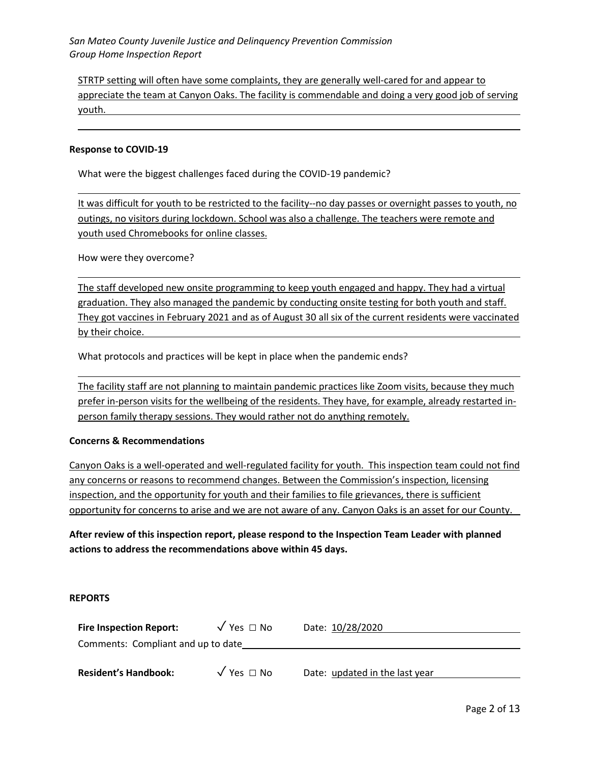STRTP setting will often have some complaints, they are generally well-cared for and appear to appreciate the team at Canyon Oaks. The facility is commendable and doing a very good job of serving youth.

#### **Response to COVID-19**

What were the biggest challenges faced during the COVID-19 pandemic?

It was difficult for youth to be restricted to the facility--no day passes or overnight passes to youth, no outings, no visitors during lockdown. School was also a challenge. The teachers were remote and youth used Chromebooks for online classes.

How were they overcome?

The staff developed new onsite programming to keep youth engaged and happy. They had a virtual graduation. They also managed the pandemic by conducting onsite testing for both youth and staff. They got vaccines in February 2021 and as of August 30 all six of the current residents were vaccinated by their choice.

What protocols and practices will be kept in place when the pandemic ends?

The facility staff are not planning to maintain pandemic practices like Zoom visits, because they much prefer in-person visits for the wellbeing of the residents. They have, for example, already restarted inperson family therapy sessions. They would rather not do anything remotely.

#### **Concerns & Recommendations**

Canyon Oaks is a well-operated and well-regulated facility for youth. This inspection team could not find any concerns or reasons to recommend changes. Between the Commission's inspection, licensing inspection, and the opportunity for youth and their families to file grievances, there is sufficient opportunity for concerns to arise and we are not aware of any. Canyon Oaks is an asset for our County.

**After review of this inspection report, please respond to the Inspection Team Leader with planned actions to address the recommendations above within 45 days.**

#### **REPORTS**

| <b>Fire Inspection Report:</b>     | $\sqrt{Y}$ es $\Box$ No | Date: 10/28/2020               |  |  |  |  |
|------------------------------------|-------------------------|--------------------------------|--|--|--|--|
| Comments: Compliant and up to date |                         |                                |  |  |  |  |
|                                    |                         |                                |  |  |  |  |
| <b>Resident's Handbook:</b>        | $\sqrt{Y}$ es $\Box$ No | Date: updated in the last year |  |  |  |  |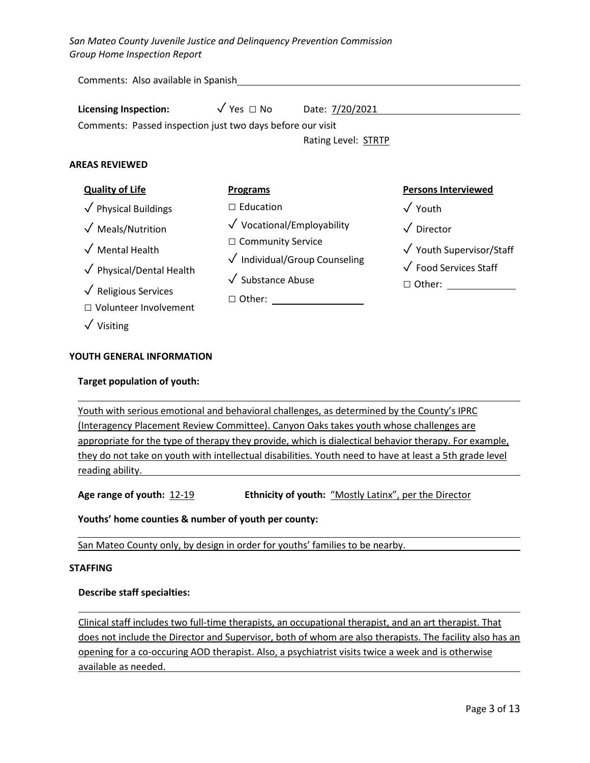> **Programs** □ Education

Comments: Also available in Spanish

| <b>Licensing Inspection:</b>                               | $\sqrt{Y}$ es $\Box$ No | Date: 7/20/2021     |  |  |
|------------------------------------------------------------|-------------------------|---------------------|--|--|
| Comments: Passed inspection just two days before our visit |                         |                     |  |  |
|                                                            |                         | Rating Level: STRTP |  |  |

✓ Vocational/Employability

✓ Individual/Group Counseling

□ Other: **□ Other:** 

□ Community Service

✓ Substance Abuse

#### **AREAS REVIEWED**

#### **Quality of Life**

- ✓ Physical Buildings ✓ Meals/Nutrition
- $\sqrt{\phantom{a}}$  Mental Health
- ✓ Physical/Dental Health
- ✓ Religious Services
- □ Volunteer Involvement
- ✓ Visiting

#### **YOUTH GENERAL INFORMATION**

#### **Target population of youth:**

# Youth with serious emotional and behavioral challenges, as determined by the County's IPRC (Interagency Placement Review Committee). Canyon Oaks takes youth whose challenges are

appropriate for the type of therapy they provide, which is dialectical behavior therapy. For example, they do not take on youth with intellectual disabilities. Youth need to have at least a 5th grade level reading ability.

**Age range of youth:** 12-19 **Ethnicity of youth:** "Mostly Latinx", per the Director

**Youths' home counties & number of youth per county:** 

San Mateo County only, by design in order for youths' families to be nearby.

#### **STAFFING**

#### **Describe staff specialties:**

Clinical staff includes two full-time therapists, an occupational therapist, and an art therapist. That does not include the Director and Supervisor, both of whom are also therapists. The facility also has an opening for a co-occuring AOD therapist. Also, a psychiatrist visits twice a week and is otherwise available as needed.

**Persons Interviewed**

✓ Youth Supervisor/Staff

✓ Food Services Staff □ Other: <u>\_\_\_\_\_\_\_\_\_\_</u>

✓ Youth

✓ Director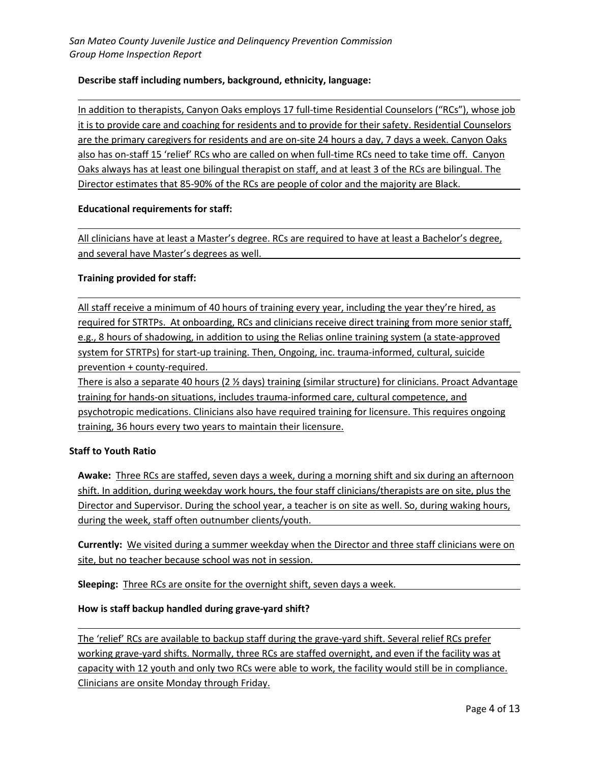## **Describe staff including numbers, background, ethnicity, language:**

In addition to therapists, Canyon Oaks employs 17 full-time Residential Counselors ("RCs"), whose job it is to provide care and coaching for residents and to provide for their safety. Residential Counselors are the primary caregivers for residents and are on-site 24 hours a day, 7 days a week. Canyon Oaks also has on-staff 15 'relief' RCs who are called on when full-time RCs need to take time off. Canyon Oaks always has at least one bilingual therapist on staff, and at least 3 of the RCs are bilingual. The Director estimates that 85-90% of the RCs are people of color and the majority are Black.

#### **Educational requirements for staff:**

All clinicians have at least a Master's degree. RCs are required to have at least a Bachelor's degree, and several have Master's degrees as well.

#### **Training provided for staff:**

All staff receive a minimum of 40 hours of training every year, including the year they're hired, as required for STRTPs. At onboarding, RCs and clinicians receive direct training from more senior staff, e.g., 8 hours of shadowing, in addition to using the Relias online training system (a state-approved system for STRTPs) for start-up training. Then, Ongoing, inc. trauma-informed, cultural, suicide prevention + county-required.

There is also a separate 40 hours (2  $\frac{1}{2}$  days) training (similar structure) for clinicians. Proact Advantage training for hands-on situations, includes trauma-informed care, cultural competence, and psychotropic medications. Clinicians also have required training for licensure. This requires ongoing training, 36 hours every two years to maintain their licensure.

## **Staff to Youth Ratio**

**Awake:** Three RCs are staffed, seven days a week, during a morning shift and six during an afternoon shift. In addition, during weekday work hours, the four staff clinicians/therapists are on site, plus the Director and Supervisor. During the school year, a teacher is on site as well. So, during waking hours, during the week, staff often outnumber clients/youth.

**Currently:** We visited during a summer weekday when the Director and three staff clinicians were on site, but no teacher because school was not in session.

**Sleeping:** Three RCs are onsite for the overnight shift, seven days a week.

#### **How is staff backup handled during grave-yard shift?**

The 'relief' RCs are available to backup staff during the grave-yard shift. Several relief RCs prefer working grave-yard shifts. Normally, three RCs are staffed overnight, and even if the facility was at capacity with 12 youth and only two RCs were able to work, the facility would still be in compliance. Clinicians are onsite Monday through Friday.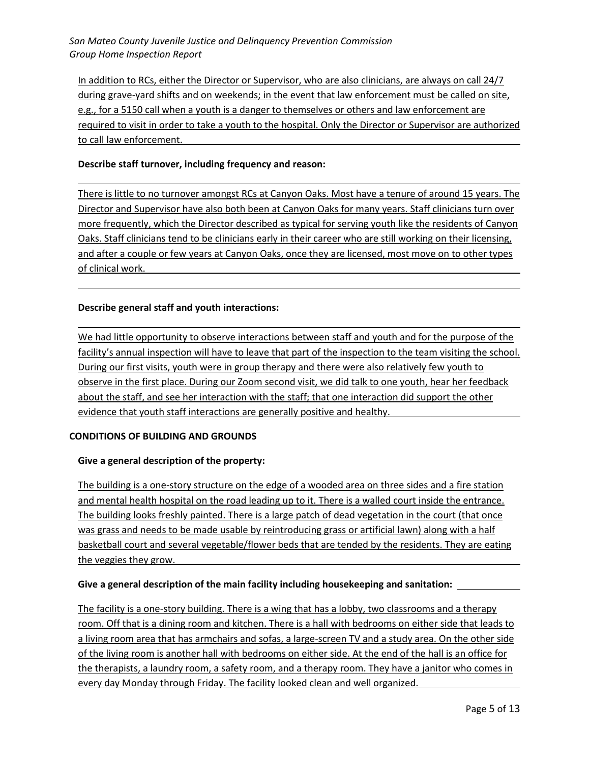In addition to RCs, either the Director or Supervisor, who are also clinicians, are always on call 24/7 during grave-yard shifts and on weekends; in the event that law enforcement must be called on site, e.g., for a 5150 call when a youth is a danger to themselves or others and law enforcement are required to visit in order to take a youth to the hospital. Only the Director or Supervisor are authorized to call law enforcement.

#### **Describe staff turnover, including frequency and reason:**

There is little to no turnover amongst RCs at Canyon Oaks. Most have a tenure of around 15 years. The Director and Supervisor have also both been at Canyon Oaks for many years. Staff clinicians turn over more frequently, which the Director described as typical for serving youth like the residents of Canyon Oaks. Staff clinicians tend to be clinicians early in their career who are still working on their licensing, and after a couple or few years at Canyon Oaks, once they are licensed, most move on to other types of clinical work.

#### **Describe general staff and youth interactions:**

We had little opportunity to observe interactions between staff and youth and for the purpose of the facility's annual inspection will have to leave that part of the inspection to the team visiting the school. During our first visits, youth were in group therapy and there were also relatively few youth to observe in the first place. During our Zoom second visit, we did talk to one youth, hear her feedback about the staff, and see her interaction with the staff; that one interaction did support the other evidence that youth staff interactions are generally positive and healthy.

#### **CONDITIONS OF BUILDING AND GROUNDS**

#### **Give a general description of the property:**

The building is a one-story structure on the edge of a wooded area on three sides and a fire station and mental health hospital on the road leading up to it. There is a walled court inside the entrance. The building looks freshly painted. There is a large patch of dead vegetation in the court (that once was grass and needs to be made usable by reintroducing grass or artificial lawn) along with a half basketball court and several vegetable/flower beds that are tended by the residents. They are eating the veggies they grow.

#### **Give a general description of the main facility including housekeeping and sanitation:**

The facility is a one-story building. There is a wing that has a lobby, two classrooms and a therapy room. Off that is a dining room and kitchen. There is a hall with bedrooms on either side that leads to a living room area that has armchairs and sofas, a large-screen TV and a study area. On the other side of the living room is another hall with bedrooms on either side. At the end of the hall is an office for the therapists, a laundry room, a safety room, and a therapy room. They have a janitor who comes in every day Monday through Friday. The facility looked clean and well organized.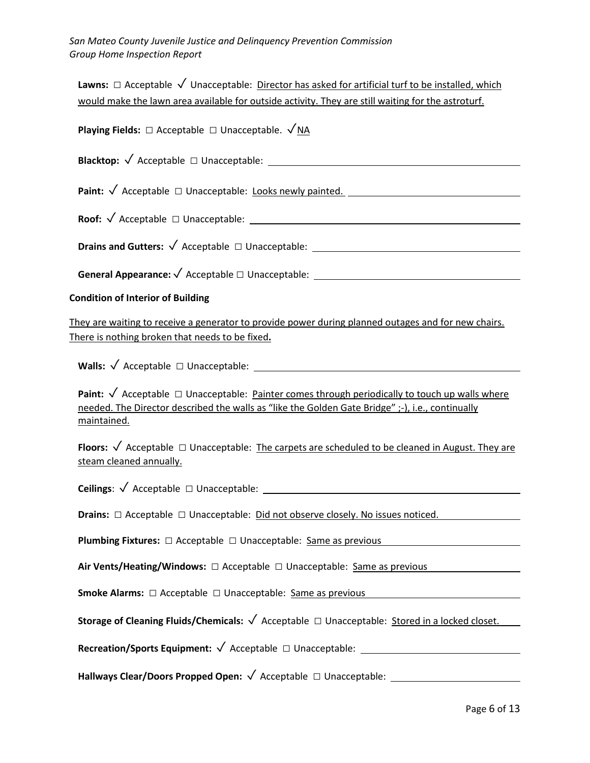| Lawns: $\Box$ Acceptable $\sqrt{ }$ Unacceptable: Director has asked for artificial turf to be installed, which                                                                                                                        |
|----------------------------------------------------------------------------------------------------------------------------------------------------------------------------------------------------------------------------------------|
| would make the lawn area available for outside activity. They are still waiting for the astroturf.                                                                                                                                     |
| <b>Playing Fields:</b> $\Box$ Acceptable $\Box$ Unacceptable. $\sqrt{NA}$                                                                                                                                                              |
|                                                                                                                                                                                                                                        |
| Paint: √ Acceptable □ Unacceptable: Looks newly painted. ________________________                                                                                                                                                      |
|                                                                                                                                                                                                                                        |
|                                                                                                                                                                                                                                        |
| General Appearance: $\sqrt{$ Acceptable $\Box$ Unacceptable: $\Box$                                                                                                                                                                    |
| <b>Condition of Interior of Building</b>                                                                                                                                                                                               |
| They are waiting to receive a generator to provide power during planned outages and for new chairs.<br>There is nothing broken that needs to be fixed.                                                                                 |
| Walls: $\sqrt{}$ Acceptable $\Box$ Unacceptable: $\Box$                                                                                                                                                                                |
| <b>Paint:</b> $\sqrt{ }$ Acceptable $\Box$ Unacceptable: Painter comes through periodically to touch up walls where<br>needed. The Director described the walls as "like the Golden Gate Bridge" ;-), i.e., continually<br>maintained. |
| Floors: $\sqrt{ }$ Acceptable $\Box$ Unacceptable: The carpets are scheduled to be cleaned in August. They are<br>steam cleaned annually.                                                                                              |
| <b>Ceilings:</b> $\sqrt{\text{Acceptable}}$ $\Box$ Unacceptable:                                                                                                                                                                       |
| <b>Drains:</b> □ Acceptable □ Unacceptable: Did not observe closely. No issues noticed.                                                                                                                                                |
| <b>Plumbing Fixtures:</b> $\Box$ Acceptable $\Box$ Unacceptable: Same as previous                                                                                                                                                      |
| Air Vents/Heating/Windows: □ Acceptable □ Unacceptable: Same as previous                                                                                                                                                               |
| Smoke Alarms: □ Acceptable □ Unacceptable: Same as previous                                                                                                                                                                            |
| Storage of Cleaning Fluids/Chemicals: √ Acceptable □ Unacceptable: Stored in a locked closet.                                                                                                                                          |
| Recreation/Sports Equipment: √ Acceptable □ Unacceptable: _______________________                                                                                                                                                      |
| Hallways Clear/Doors Propped Open: √ Acceptable □ Unacceptable: _________________                                                                                                                                                      |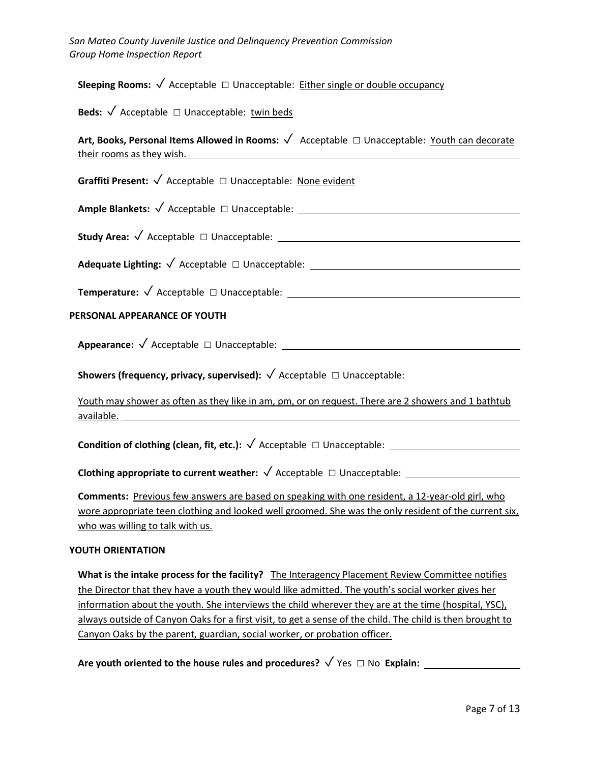**Sleeping Rooms:**  $\sqrt{\phantom{a}}$  Acceptable  $\Box$  Unacceptable: Either single or double occupancy

**Beds:** ✓ Acceptable □ Unacceptable: twin beds

**Art, Books, Personal Items Allowed in Rooms:** ✓ Acceptable □ Unacceptable: Youth can decorate their rooms as they wish.

**Graffiti Present:** ✓ Acceptable □ Unacceptable: None evident

**Ample Blankets:** ✓ Acceptable □ Unacceptable:

**Study Area:** ✓ Acceptable □ Unacceptable:

**Adequate Lighting:** ✓ Acceptable □ Unacceptable:

**Temperature:** ✓ Acceptable □ Unacceptable:

#### **PERSONAL APPEARANCE OF YOUTH**

**Appearance:** ✓ Acceptable □ Unacceptable:

**Showers (frequency, privacy, supervised):** ✓ Acceptable □ Unacceptable:

Youth may shower as often as they like in am, pm, or on request. There are 2 showers and 1 bathtub available.

**Condition of clothing (clean, fit, etc.):** ✓ Acceptable □ Unacceptable:

**Clothing appropriate to current weather:** ✓ Acceptable □ Unacceptable:

**Comments:** Previous few answers are based on speaking with one resident, a 12-year-old girl, who wore appropriate teen clothing and looked well groomed. She was the only resident of the current six, who was willing to talk with us.

#### **YOUTH ORIENTATION**

**What is the intake process for the facility?** The Interagency Placement Review Committee notifies the Director that they have a youth they would like admitted. The youth's social worker gives her information about the youth. She interviews the child wherever they are at the time (hospital, YSC), always outside of Canyon Oaks for a first visit, to get a sense of the child. The child is then brought to Canyon Oaks by the parent, guardian, social worker, or probation officer.

**Are youth oriented to the house rules and procedures?** ✓ Yes □ No **Explain:**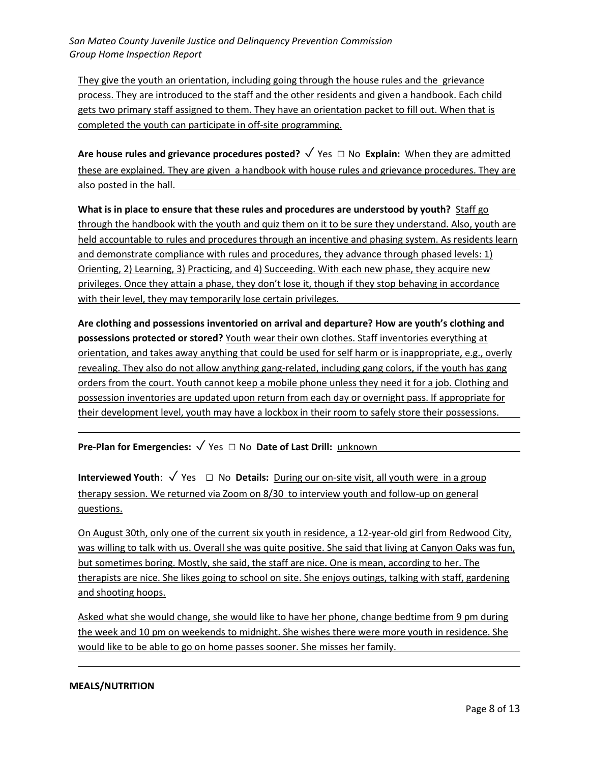They give the youth an orientation, including going through the house rules and the grievance process. They are introduced to the staff and the other residents and given a handbook. Each child gets two primary staff assigned to them. They have an orientation packet to fill out. When that is completed the youth can participate in off-site programming.

Are house rules and grievance procedures posted? √ Yes □ No Explain: When they are admitted these are explained. They are given a handbook with house rules and grievance procedures. They are also posted in the hall.

**What is in place to ensure that these rules and procedures are understood by youth?** Staff go through the handbook with the youth and quiz them on it to be sure they understand. Also, youth are held accountable to rules and procedures through an incentive and phasing system. As residents learn and demonstrate compliance with rules and procedures, they advance through phased levels: 1) Orienting, 2) Learning, 3) Practicing, and 4) Succeeding. With each new phase, they acquire new privileges. Once they attain a phase, they don't lose it, though if they stop behaving in accordance with their level, they may temporarily lose certain privileges.

**Are clothing and possessions inventoried on arrival and departure? How are youth's clothing and possessions protected or stored?** Youth wear their own clothes. Staff inventories everything at orientation, and takes away anything that could be used for self harm or is inappropriate, e.g., overly revealing. They also do not allow anything gang-related, including gang colors, if the youth has gang orders from the court. Youth cannot keep a mobile phone unless they need it for a job. Clothing and possession inventories are updated upon return from each day or overnight pass. If appropriate for their development level, youth may have a lockbox in their room to safely store their possessions.

**Pre-Plan for Emergencies:** ✓ Yes □ No **Date of Last Drill:** unknown

**Interviewed Youth:** √ Yes □ No **Details:** During our on-site visit, all youth were in a group therapy session. We returned via Zoom on 8/30 to interview youth and follow-up on general questions.

On August 30th, only one of the current six youth in residence, a 12-year-old girl from Redwood City, was willing to talk with us. Overall she was quite positive. She said that living at Canyon Oaks was fun, but sometimes boring. Mostly, she said, the staff are nice. One is mean, according to her. The therapists are nice. She likes going to school on site. She enjoys outings, talking with staff, gardening and shooting hoops.

Asked what she would change, she would like to have her phone, change bedtime from 9 pm during the week and 10 pm on weekends to midnight. She wishes there were more youth in residence. She would like to be able to go on home passes sooner. She misses her family.

#### **MEALS/NUTRITION**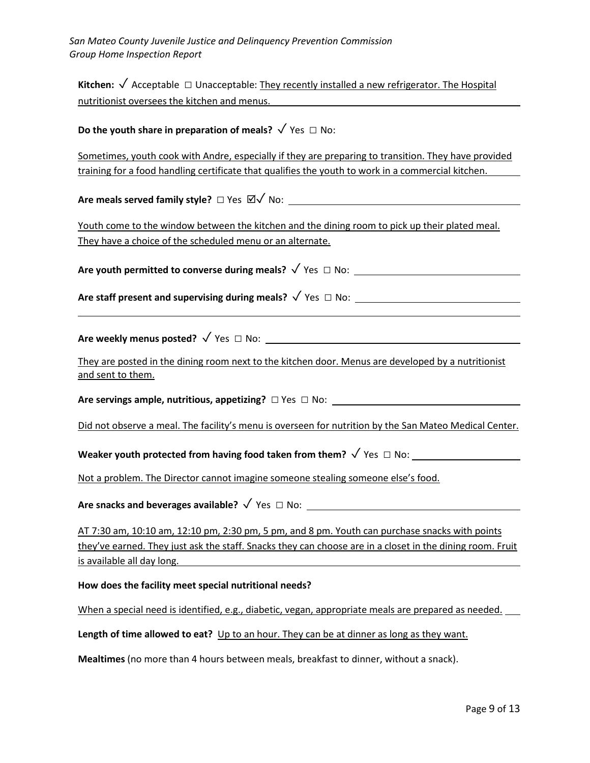**Kitchen:** ✓ Acceptable □ Unacceptable: They recently installed a new refrigerator. The Hospital nutritionist oversees the kitchen and menus.

# **Do the youth share in preparation of meals?** √ Yes □ No:

Sometimes, youth cook with Andre, especially if they are preparing to transition. They have provided training for a food handling certificate that qualifies the youth to work in a commercial kitchen.

**Are meals served family style?** □ Yes  $\boxtimes$ √ No:

Youth come to the window between the kitchen and the dining room to pick up their plated meal. They have a choice of the scheduled menu or an alternate.

**Are youth permitted to converse during meals?** ✓ Yes □ No:

**Are staff present and supervising during meals?** ✓ Yes □ No:

**Are weekly menus posted?** ✓ Yes □ No:

They are posted in the dining room next to the kitchen door. Menus are developed by a nutritionist and sent to them.

**Are servings ample, nutritious, appetizing?** □ Yes □ No:

Did not observe a meal. The facility's menu is overseen for nutrition by the San Mateo Medical Center.

**Weaker youth protected from having food taken from them?** √ Yes □ No:

Not a problem. The Director cannot imagine someone stealing someone else's food.

Are snacks and beverages available? √ Yes □ No: <u>\_\_\_\_</u>

AT 7:30 am, 10:10 am, 12:10 pm, 2:30 pm, 5 pm, and 8 pm. Youth can purchase snacks with points they've earned. They just ask the staff. Snacks they can choose are in a closet in the dining room. Fruit is available all day long.

#### **How does the facility meet special nutritional needs?**

When a special need is identified, e.g., diabetic, vegan, appropriate meals are prepared as needed.

Length of time allowed to eat? Up to an hour. They can be at dinner as long as they want.

**Mealtimes** (no more than 4 hours between meals, breakfast to dinner, without a snack).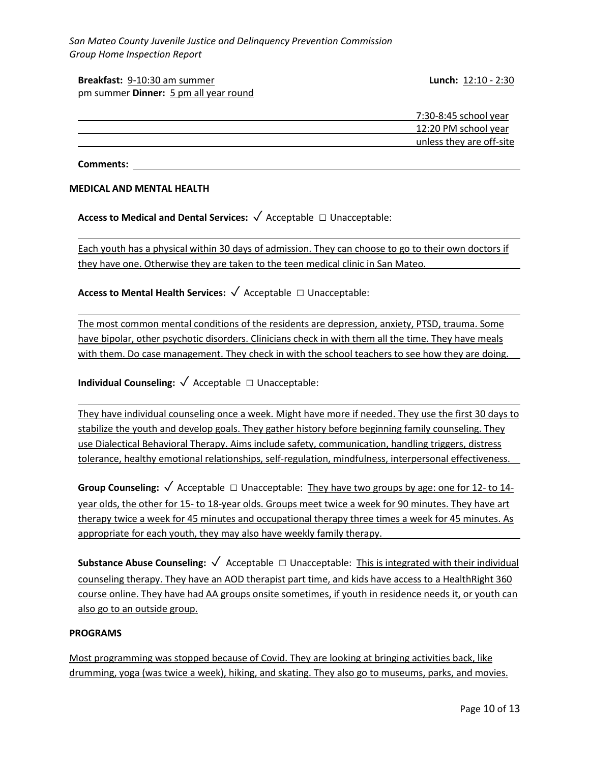#### **Breakfast:** 9-10:30 am summer **Lunch:** 12:10 - 2:30 pm summer **Dinner:** 5 pm all year round

| 7:30-8:45 school year    |
|--------------------------|
| 12:20 PM school year     |
| unless they are off-site |
|                          |

**Comments:**

#### **MEDICAL AND MENTAL HEALTH**

**Access to Medical and Dental Services:** ✓ Acceptable □ Unacceptable:

Each youth has a physical within 30 days of admission. They can choose to go to their own doctors if they have one. Otherwise they are taken to the teen medical clinic in San Mateo.

**Access to Mental Health Services:** ✓ Acceptable □ Unacceptable:

The most common mental conditions of the residents are depression, anxiety, PTSD, trauma. Some have bipolar, other psychotic disorders. Clinicians check in with them all the time. They have meals with them. Do case management. They check in with the school teachers to see how they are doing.

**Individual Counseling:** ✓ Acceptable □ Unacceptable:

They have individual counseling once a week. Might have more if needed. They use the first 30 days to stabilize the youth and develop goals. They gather history before beginning family counseling. They use Dialectical Behavioral Therapy. Aims include safety, communication, handling triggers, distress tolerance, healthy emotional relationships, self-regulation, mindfulness, interpersonal effectiveness.

**Group Counseling:** ✓ Acceptable □ Unacceptable: They have two groups by age: one for 12- to 14 year olds, the other for 15- to 18-year olds. Groups meet twice a week for 90 minutes. They have art therapy twice a week for 45 minutes and occupational therapy three times a week for 45 minutes. As appropriate for each youth, they may also have weekly family therapy.

**Substance Abuse Counseling:** ✓ Acceptable □ Unacceptable: This is integrated with their individual counseling therapy. They have an AOD therapist part time, and kids have access to a HealthRight 360 course online. They have had AA groups onsite sometimes, if youth in residence needs it, or youth can also go to an outside group.

#### **PROGRAMS**

Most programming was stopped because of Covid. They are looking at bringing activities back, like drumming, yoga (was twice a week), hiking, and skating. They also go to museums, parks, and movies.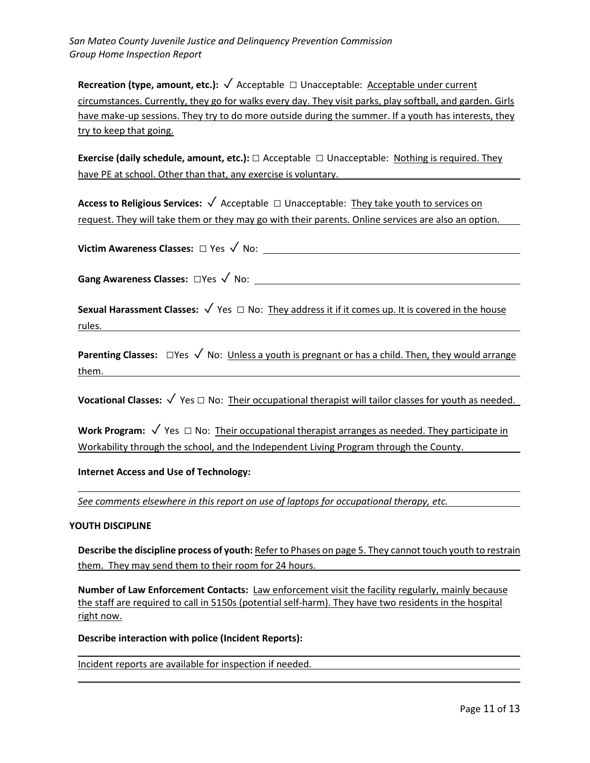**Recreation (type, amount, etc.):** √ Acceptable □ Unacceptable: <u>Acceptable under current</u> circumstances. Currently, they go for walks every day. They visit parks, play softball, and garden. Girls have make-up sessions. They try to do more outside during the summer. If a youth has interests, they try to keep that going.

**Exercise (daily schedule, amount, etc.):** □ Acceptable □ Unacceptable: Nothing is required. They have PE at school. Other than that, any exercise is voluntary.

**Access to Religious Services:** ✓ Acceptable □ Unacceptable: They take youth to services on request. They will take them or they may go with their parents. Online services are also an option.

**Victim Awareness Classes:** □ Yes ✓ No:

**Gang Awareness Classes:** □Yes ✓ No:

**Sexual Harassment Classes:** ✓ Yes □ No: They address it if it comes up. It is covered in the house rules.

**Parenting Classes:** □Yes √ No: Unless a youth is pregnant or has a child. Then, they would arrange them.

**Vocational Classes:** ✓ Yes □ No: Their occupational therapist will tailor classes for youth as needed.

Work Program: √ Yes □ No: Their occupational therapist arranges as needed. They participate in Workability through the school, and the Independent Living Program through the County.

**Internet Access and Use of Technology:**

*See comments elsewhere in this report on use of laptops for occupational therapy, etc.*

#### **YOUTH DISCIPLINE**

Describe the discipline process of youth: Refer to Phases on page 5. They cannot touch youth to restrain them. They may send them to their room for 24 hours.

**Number of Law Enforcement Contacts:** Law enforcement visit the facility regularly, mainly because the staff are required to call in 5150s (potential self-harm). They have two residents in the hospital right now.

**Describe interaction with police (Incident Reports):** 

Incident reports are available for inspection if needed.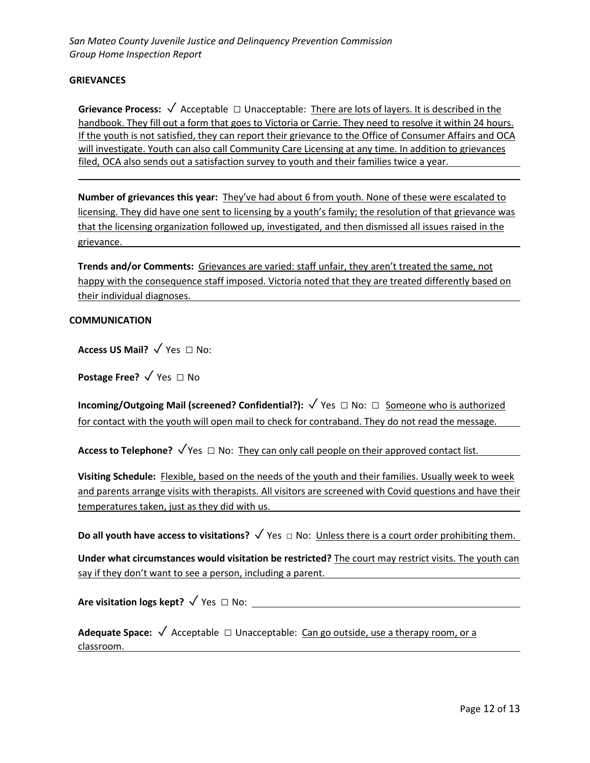#### **GRIEVANCES**

**Grievance Process:** ✓ Acceptable □ Unacceptable: There are lots of layers. It is described in the handbook. They fill out a form that goes to Victoria or Carrie. They need to resolve it within 24 hours. If the youth is not satisfied, they can report their grievance to the Office of Consumer Affairs and OCA will investigate. Youth can also call Community Care Licensing at any time. In addition to grievances filed, OCA also sends out a satisfaction survey to youth and their families twice a year.

**Number of grievances this year:** They've had about 6 from youth. None of these were escalated to licensing. They did have one sent to licensing by a youth's family; the resolution of that grievance was that the licensing organization followed up, investigated, and then dismissed all issues raised in the grievance.

**Trends and/or Comments:** Grievances are varied: staff unfair, they aren't treated the same, not happy with the consequence staff imposed. Victoria noted that they are treated differently based on their individual diagnoses.

#### **COMMUNICATION**

**Access US Mail?** ✓ Yes □ No:

**Postage Free?** √ Yes □ No

**Incoming/Outgoing Mail (screened? Confidential?):** ✓ Yes □ No: □ Someone who is authorized for contact with the youth will open mail to check for contraband. They do not read the message.

**Access to Telephone?**  $\sqrt{Y}$ es  $\Box$  No: They can only call people on their approved contact list.

**Visiting Schedule:** Flexible, based on the needs of the youth and their families. Usually week to week and parents arrange visits with therapists. All visitors are screened with Covid questions and have their temperatures taken, just as they did with us.

**Do all youth have access to visitations?** √ Yes □ No: Unless there is a court order prohibiting them.

**Under what circumstances would visitation be restricted?** The court may restrict visits. The youth can say if they don't want to see a person, including a parent.

**Are visitation logs kept?** ✓ Yes □ No:

**Adequate Space:** ✓ Acceptable □ Unacceptable: Can go outside, use a therapy room, or a classroom.